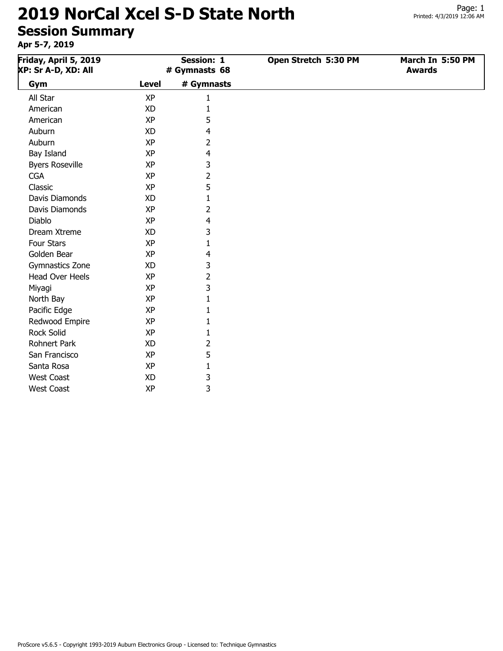| Friday, April 5, 2019<br>XP: Sr A-D, XD: All |              | <b>Session: 1</b><br># Gymnasts 68 | Open Stretch 5:30 PM | March In 5:50 PM<br><b>Awards</b> |
|----------------------------------------------|--------------|------------------------------------|----------------------|-----------------------------------|
| Gym                                          | <b>Level</b> | # Gymnasts                         |                      |                                   |
| All Star                                     | <b>XP</b>    | 1                                  |                      |                                   |
| American                                     | <b>XD</b>    | 1                                  |                      |                                   |
| American                                     | <b>XP</b>    | 5                                  |                      |                                   |
| Auburn                                       | <b>XD</b>    | 4                                  |                      |                                   |
| Auburn                                       | <b>XP</b>    | 2                                  |                      |                                   |
| Bay Island                                   | <b>XP</b>    | 4                                  |                      |                                   |
| <b>Byers Roseville</b>                       | <b>XP</b>    | 3                                  |                      |                                   |
| <b>CGA</b>                                   | <b>XP</b>    | 2                                  |                      |                                   |
| Classic                                      | <b>XP</b>    | 5                                  |                      |                                   |
| Davis Diamonds                               | <b>XD</b>    | 1                                  |                      |                                   |
| Davis Diamonds                               | <b>XP</b>    | 2                                  |                      |                                   |
| Diablo                                       | <b>XP</b>    | 4                                  |                      |                                   |
| Dream Xtreme                                 | <b>XD</b>    | 3                                  |                      |                                   |
| Four Stars                                   | <b>XP</b>    | 1                                  |                      |                                   |
| Golden Bear                                  | <b>XP</b>    | 4                                  |                      |                                   |
| <b>Gymnastics Zone</b>                       | XD           | 3                                  |                      |                                   |
| <b>Head Over Heels</b>                       | <b>XP</b>    | 2                                  |                      |                                   |
| Miyagi                                       | <b>XP</b>    | 3                                  |                      |                                   |
| North Bay                                    | <b>XP</b>    | 1                                  |                      |                                   |
| Pacific Edge                                 | <b>XP</b>    | 1                                  |                      |                                   |
| Redwood Empire                               | <b>XP</b>    | 1                                  |                      |                                   |
| <b>Rock Solid</b>                            | <b>XP</b>    | 1                                  |                      |                                   |
| <b>Rohnert Park</b>                          | <b>XD</b>    | 2                                  |                      |                                   |
| San Francisco                                | <b>XP</b>    | 5                                  |                      |                                   |
| Santa Rosa                                   | <b>XP</b>    | 1                                  |                      |                                   |
| <b>West Coast</b>                            | <b>XD</b>    | 3                                  |                      |                                   |
| <b>West Coast</b>                            | <b>XP</b>    | 3                                  |                      |                                   |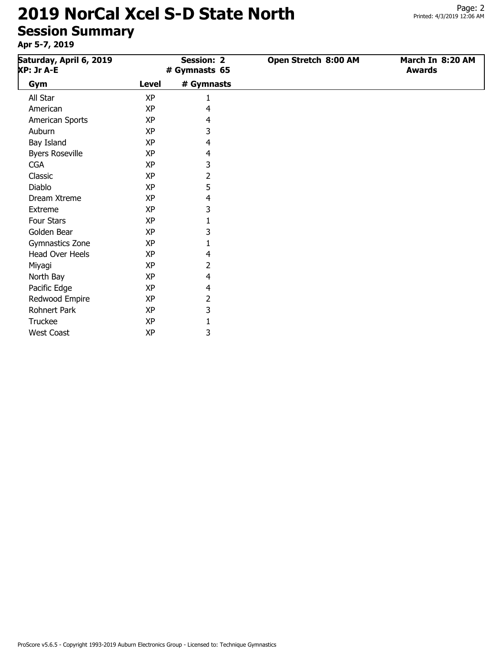# Printed: 4/3/2019 12:06 AM

Page: 2

# **2019 NorCal Xcel S-D State North**

# **Session Summary**

| Saturday, April 6, 2019<br>XP: Jr A-E |              | <b>Session: 2</b><br># Gymnasts 65 | Open Stretch 8:00 AM | March In 8:20 AM<br><b>Awards</b> |
|---------------------------------------|--------------|------------------------------------|----------------------|-----------------------------------|
| Gym                                   | <b>Level</b> | # Gymnasts                         |                      |                                   |
| All Star                              | <b>XP</b>    | 1                                  |                      |                                   |
| American                              | <b>XP</b>    | 4                                  |                      |                                   |
| American Sports                       | <b>XP</b>    | 4                                  |                      |                                   |
| Auburn                                | <b>XP</b>    | 3                                  |                      |                                   |
| Bay Island                            | XP           | 4                                  |                      |                                   |
| <b>Byers Roseville</b>                | <b>XP</b>    | 4                                  |                      |                                   |
| <b>CGA</b>                            | XP           | 3                                  |                      |                                   |
| Classic                               | <b>XP</b>    | 2                                  |                      |                                   |
| Diablo                                | <b>XP</b>    | 5                                  |                      |                                   |
| Dream Xtreme                          | <b>XP</b>    | 4                                  |                      |                                   |
| Extreme                               | <b>XP</b>    | 3                                  |                      |                                   |
| Four Stars                            | XP           | 1                                  |                      |                                   |
| Golden Bear                           | <b>XP</b>    | 3                                  |                      |                                   |
| Gymnastics Zone                       | XP           | 1                                  |                      |                                   |
| Head Over Heels                       | XP           | 4                                  |                      |                                   |
| Miyagi                                | XP           | 2                                  |                      |                                   |
| North Bay                             | <b>XP</b>    | 4                                  |                      |                                   |
| Pacific Edge                          | XP           | 4                                  |                      |                                   |
| Redwood Empire                        | <b>XP</b>    | 2                                  |                      |                                   |
| Rohnert Park                          | <b>XP</b>    | 3                                  |                      |                                   |
| Truckee                               | <b>XP</b>    | $\mathbf{1}$                       |                      |                                   |
| <b>West Coast</b>                     | ΧP           | 3                                  |                      |                                   |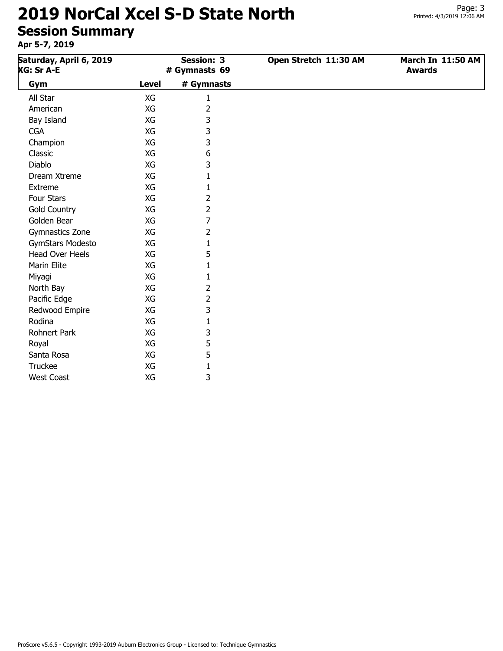# **2019 NorCal Xcel S-D State North**

## **Session Summary**

| Saturday, April 6, 2019<br>XG: Sr A-E |              | <b>Session: 3</b><br># Gymnasts 69 | Open Stretch 11:30 AM | March In 11:50 AM<br><b>Awards</b> |
|---------------------------------------|--------------|------------------------------------|-----------------------|------------------------------------|
| Gym                                   | <b>Level</b> | # Gymnasts                         |                       |                                    |
| All Star                              | XG           | 1                                  |                       |                                    |
| American                              | XG           | $\overline{2}$                     |                       |                                    |
| Bay Island                            | XG           | 3                                  |                       |                                    |
| <b>CGA</b>                            | XG           | 3                                  |                       |                                    |
| Champion                              | XG           | 3                                  |                       |                                    |
| Classic                               | XG           | 6                                  |                       |                                    |
| <b>Diablo</b>                         | XG           | 3                                  |                       |                                    |
| Dream Xtreme                          | XG           | 1                                  |                       |                                    |
| Extreme                               | XG           | 1                                  |                       |                                    |
| Four Stars                            | XG           | 2                                  |                       |                                    |
| <b>Gold Country</b>                   | XG           | 2                                  |                       |                                    |
| Golden Bear                           | XG           | 7                                  |                       |                                    |
| Gymnastics Zone                       | XG           | 2                                  |                       |                                    |
| GymStars Modesto                      | XG           | 1                                  |                       |                                    |
| Head Over Heels                       | XG           | 5                                  |                       |                                    |
| Marin Elite                           | XG           | 1                                  |                       |                                    |
| Miyagi                                | XG           | 1                                  |                       |                                    |
| North Bay                             | XG           | 2                                  |                       |                                    |
| Pacific Edge                          | XG           | 2                                  |                       |                                    |
| Redwood Empire                        | XG           | 3                                  |                       |                                    |
| Rodina                                | XG           | 1                                  |                       |                                    |
| Rohnert Park                          | XG           | 3                                  |                       |                                    |
| Royal                                 | XG           | 5                                  |                       |                                    |
| Santa Rosa                            | XG           | 5                                  |                       |                                    |
| Truckee                               | XG           | $\mathbf{1}$                       |                       |                                    |
| <b>West Coast</b>                     | XG           | 3                                  |                       |                                    |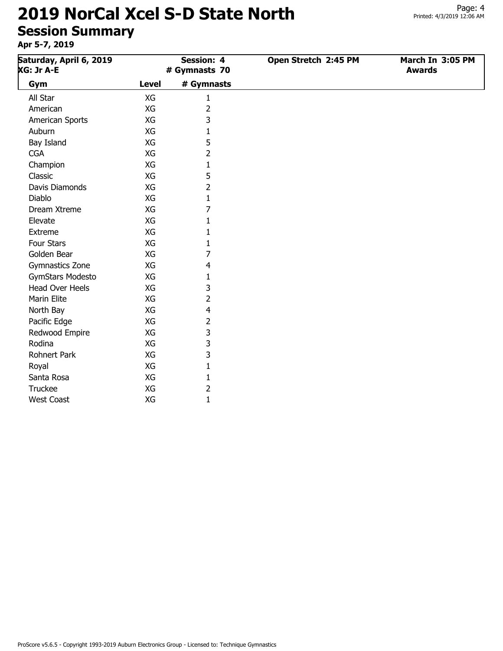## **Apr 5-7, 2019**

| Saturday, April 6, 2019<br><b>Session: 4</b><br>XG: Jr A-E<br># Gymnasts 70 |       | Open Stretch 2:45 PM | March In 3:05 PM<br><b>Awards</b> |  |
|-----------------------------------------------------------------------------|-------|----------------------|-----------------------------------|--|
| Gym                                                                         | Level | # Gymnasts           |                                   |  |
| All Star                                                                    | XG    |                      |                                   |  |
| American                                                                    | XG    |                      |                                   |  |
| American Sports                                                             | XG    | 3                    |                                   |  |
| Auburn                                                                      | XG    |                      |                                   |  |
| Bay Island                                                                  | XG    | 5                    |                                   |  |
| <b>CGA</b>                                                                  | XG    | 2                    |                                   |  |
| Champion                                                                    | XG    |                      |                                   |  |
| Classic                                                                     | XG    | 5                    |                                   |  |
| Davis Diamonds                                                              | XG    |                      |                                   |  |
| Diahlo.                                                                     | XG.   |                      |                                   |  |

| Classic                 | XG | 5 |
|-------------------------|----|---|
| Davis Diamonds          | ХG | 2 |
| Diablo                  | ХG | 1 |
| Dream Xtreme            | XG | 7 |
| Elevate                 | XG | 1 |
| Extreme                 | ХG | 1 |
| Four Stars              | ХG | 1 |
| Golden Bear             | XG | 7 |
| Gymnastics Zone         | XG | 4 |
| <b>GymStars Modesto</b> | ХG | 1 |
| <b>Head Over Heels</b>  | ХG | 3 |
| Marin Elite             | XG | 2 |
| North Bay               | ХG | 4 |
| Pacific Edge            | ХG | 2 |
| Redwood Empire          | ХG | 3 |
| Rodina                  | ХG | 3 |
| Rohnert Park            | ХG | 3 |
| Royal                   | ХG | 1 |
| Santa Rosa              | ХG | 1 |
| <b>Truckee</b>          | XG | 2 |
| West Coast              | XG | 1 |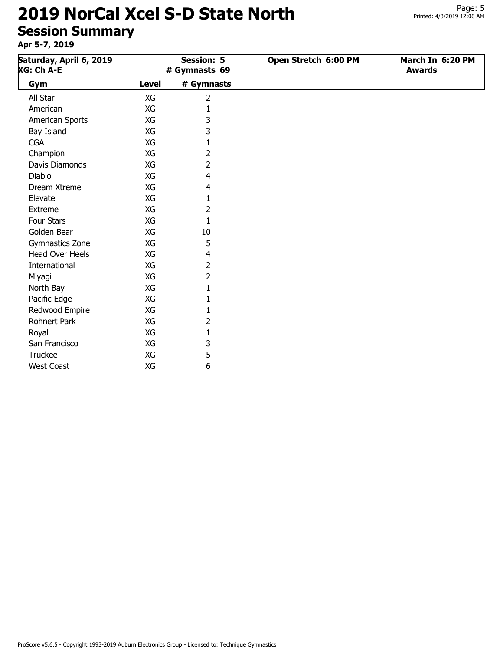| Saturday, April 6, 2019<br><b>XG: Ch A-E</b> |              | <b>Session: 5</b><br># Gymnasts 69 | Open Stretch 6:00 PM | March In 6:20 PM<br><b>Awards</b> |
|----------------------------------------------|--------------|------------------------------------|----------------------|-----------------------------------|
| Gym                                          | <b>Level</b> | # Gymnasts                         |                      |                                   |
| All Star                                     | XG           | $\overline{2}$                     |                      |                                   |
| American                                     | XG           | 1                                  |                      |                                   |
| American Sports                              | XG           | 3                                  |                      |                                   |
| Bay Island                                   | XG           | 3                                  |                      |                                   |
| <b>CGA</b>                                   | XG           | 1                                  |                      |                                   |
| Champion                                     | XG           | 2                                  |                      |                                   |
| Davis Diamonds                               | XG           | 2                                  |                      |                                   |
| <b>Diablo</b>                                | XG           | 4                                  |                      |                                   |
| Dream Xtreme                                 | XG           | 4                                  |                      |                                   |
| Elevate                                      | XG           | 1                                  |                      |                                   |
| Extreme                                      | XG           | 2                                  |                      |                                   |
| Four Stars                                   | XG           | 1                                  |                      |                                   |
| Golden Bear                                  | XG           | 10                                 |                      |                                   |
| Gymnastics Zone                              | XG           | 5                                  |                      |                                   |
| <b>Head Over Heels</b>                       | XG           | 4                                  |                      |                                   |
| International                                | XG           | 2                                  |                      |                                   |
| Miyagi                                       | XG           | 2                                  |                      |                                   |
| North Bay                                    | XG           |                                    |                      |                                   |
| Pacific Edge                                 | XG           | 1                                  |                      |                                   |
| Redwood Empire                               | XG           | 1                                  |                      |                                   |
| <b>Rohnert Park</b>                          | XG           | 2                                  |                      |                                   |
| Royal                                        | XG           | 1                                  |                      |                                   |
| San Francisco                                | XG           | 3                                  |                      |                                   |
| Truckee                                      | XG           | 5                                  |                      |                                   |
| <b>West Coast</b>                            | XG           | 6                                  |                      |                                   |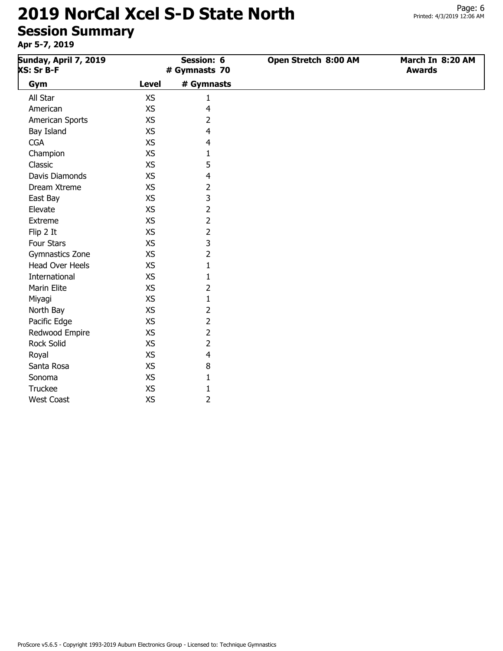**Apr 5-7, 2019**

| . <i>.</i> .                        |              |                             |                      |                                   |
|-------------------------------------|--------------|-----------------------------|----------------------|-----------------------------------|
| Sunday, April 7, 2019<br>XS: Sr B-F |              | Session: 6<br># Gymnasts 70 | Open Stretch 8:00 AM | March In 8:20 AM<br><b>Awards</b> |
| Gym                                 | <b>Level</b> | # Gymnasts                  |                      |                                   |
| All Star                            | <b>XS</b>    | $\mathbf{1}$                |                      |                                   |
| American                            | XS           | 4                           |                      |                                   |
| American Sports                     | XS           | 2                           |                      |                                   |
| Bay Island                          | XS           | 4                           |                      |                                   |
| <b>CGA</b>                          | XS           | 4                           |                      |                                   |
| Champion                            | XS           | 1                           |                      |                                   |
| Classic                             | XS           | 5                           |                      |                                   |
| Davis Diamonds                      | <b>XS</b>    | 4                           |                      |                                   |
| Dream Xtreme                        | XS           | 2                           |                      |                                   |
| East Bay                            | XS           | 3                           |                      |                                   |
| Elevate                             | <b>XS</b>    | 2                           |                      |                                   |
| Extreme                             | XS           | 2                           |                      |                                   |
| Flip 2 It                           | XS           | 2                           |                      |                                   |
| Four Stars                          | XS           | 3                           |                      |                                   |
| Gymnastics Zone                     | XS           | 2                           |                      |                                   |
| <b>Head Over Heels</b>              | XS           | 1                           |                      |                                   |
| International                       | XS           | 1                           |                      |                                   |
| Marin Elite                         | XS           | 2                           |                      |                                   |
| Miyagi                              | XS           | 1                           |                      |                                   |
| North Bay                           | XS           | 2                           |                      |                                   |
| Pacific Edge                        | XS           | 2                           |                      |                                   |
| Redwood Empire                      | XS           | $\overline{2}$              |                      |                                   |
| Rock Solid                          | XS           | $\overline{2}$              |                      |                                   |

Royal XS 4 Santa Rosa XS 8 Sonoma XS 1 Truckee XS 1 West Coast 2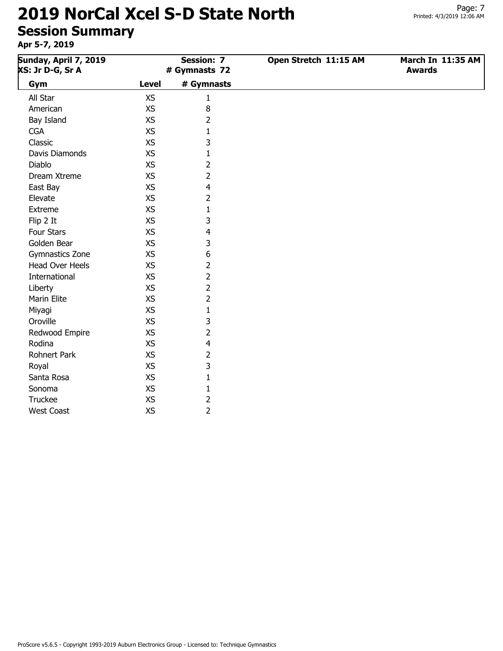#### **2019 NorCal Xcel S-D State North Session**

| Session Summary<br>Apr 5-7, 2019                                                |           |                       |                                    |  |  |  |
|---------------------------------------------------------------------------------|-----------|-----------------------|------------------------------------|--|--|--|
| Sunday, April 7, 2019<br><b>Session: 7</b><br>XS: Jr D-G, Sr A<br># Gymnasts 72 |           | Open Stretch 11:15 AM | March In 11:35 AM<br><b>Awards</b> |  |  |  |
| Gym                                                                             | Level     | # Gymnasts            |                                    |  |  |  |
| All Star                                                                        | <b>XS</b> |                       |                                    |  |  |  |
| American                                                                        | <b>XS</b> | 8                     |                                    |  |  |  |
| Bay Island                                                                      | XS        | ገ                     |                                    |  |  |  |
| <b>CGA</b>                                                                      | <b>XS</b> |                       |                                    |  |  |  |
| Classic                                                                         | <b>XS</b> | 3                     |                                    |  |  |  |
| Davis Diamonds                                                                  | <b>XS</b> |                       |                                    |  |  |  |
| Diablo                                                                          | XS        |                       |                                    |  |  |  |

| Davis Diamonds         | XS        | 1              |
|------------------------|-----------|----------------|
| Diablo                 | XS        | 2              |
| Dream Xtreme           | <b>XS</b> | $\overline{2}$ |
| East Bay               | XS        | 4              |
| Elevate                | XS        | 2              |
| Extreme                | XS        | 1              |
| Flip 2 It              | XS        | 3              |
| Four Stars             | <b>XS</b> | 4              |
| Golden Bear            | XS        | 3              |
| Gymnastics Zone        | XS        | 6              |
| <b>Head Over Heels</b> | <b>XS</b> | 2              |
| International          | <b>XS</b> | 2              |
| Liberty                | XS        | 2              |
| Marin Elite            | XS        | 2              |
| Miyagi                 | XS        | 1              |
| Oroville               | XS        | 3              |
| Redwood Empire         | XS        | 2              |
| Rodina                 | <b>XS</b> | 4              |
| Rohnert Park           | <b>XS</b> | 2              |
| Royal                  | XS        | 3              |
| Santa Rosa             | XS        | $\mathbf{1}$   |
| Sonoma                 | XS        | 1              |
| Truckee                | XS        | 2              |
| <b>West Coast</b>      | XS        | 2              |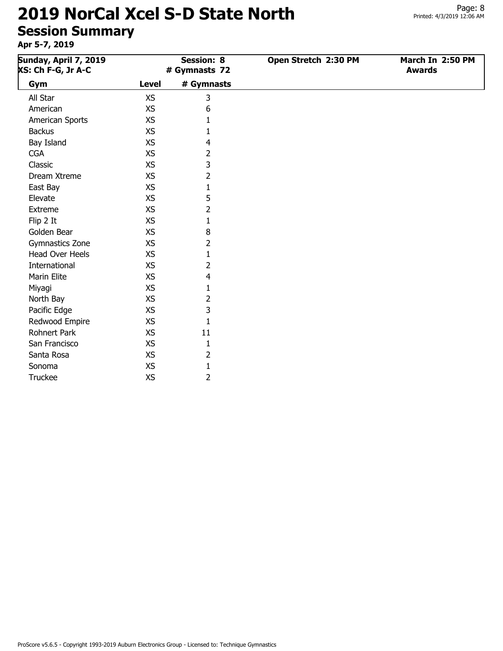| Sunday, April 7, 2019<br><b>XS: Ch F-G, Jr A-C</b> |              | <b>Session: 8</b><br># Gymnasts 72 | Open Stretch 2:30 PM | March In 2:50 PM<br><b>Awards</b> |
|----------------------------------------------------|--------------|------------------------------------|----------------------|-----------------------------------|
| Gym                                                | <b>Level</b> | # Gymnasts                         |                      |                                   |
| All Star                                           | <b>XS</b>    | 3                                  |                      |                                   |
| American                                           | <b>XS</b>    | 6                                  |                      |                                   |
| American Sports                                    | XS           | 1                                  |                      |                                   |
| <b>Backus</b>                                      | <b>XS</b>    | 1                                  |                      |                                   |
| Bay Island                                         | <b>XS</b>    | 4                                  |                      |                                   |
| <b>CGA</b>                                         | <b>XS</b>    | 2                                  |                      |                                   |
| Classic                                            | <b>XS</b>    | 3                                  |                      |                                   |
| Dream Xtreme                                       | <b>XS</b>    | $\overline{2}$                     |                      |                                   |
| East Bay                                           | <b>XS</b>    | $\mathbf{1}$                       |                      |                                   |
| Elevate                                            | <b>XS</b>    | 5                                  |                      |                                   |
| Extreme                                            | <b>XS</b>    | 2                                  |                      |                                   |
| Flip 2 It                                          | <b>XS</b>    | 1                                  |                      |                                   |
| Golden Bear                                        | <b>XS</b>    | 8                                  |                      |                                   |
| Gymnastics Zone                                    | <b>XS</b>    | 2                                  |                      |                                   |
| <b>Head Over Heels</b>                             | <b>XS</b>    | 1                                  |                      |                                   |
| International                                      | <b>XS</b>    | 2                                  |                      |                                   |
| Marin Elite                                        | <b>XS</b>    | 4                                  |                      |                                   |
| Miyagi                                             | <b>XS</b>    | 1                                  |                      |                                   |
| North Bay                                          | XS           | 2                                  |                      |                                   |
| Pacific Edge                                       | <b>XS</b>    | 3                                  |                      |                                   |
| Redwood Empire                                     | XS           | 1                                  |                      |                                   |
| Rohnert Park                                       | <b>XS</b>    | 11                                 |                      |                                   |
| San Francisco                                      | <b>XS</b>    | $\mathbf{1}$                       |                      |                                   |
| Santa Rosa                                         | <b>XS</b>    | 2                                  |                      |                                   |
| Sonoma                                             | <b>XS</b>    | $\mathbf{1}$                       |                      |                                   |
| <b>Truckee</b>                                     | <b>XS</b>    | 2                                  |                      |                                   |